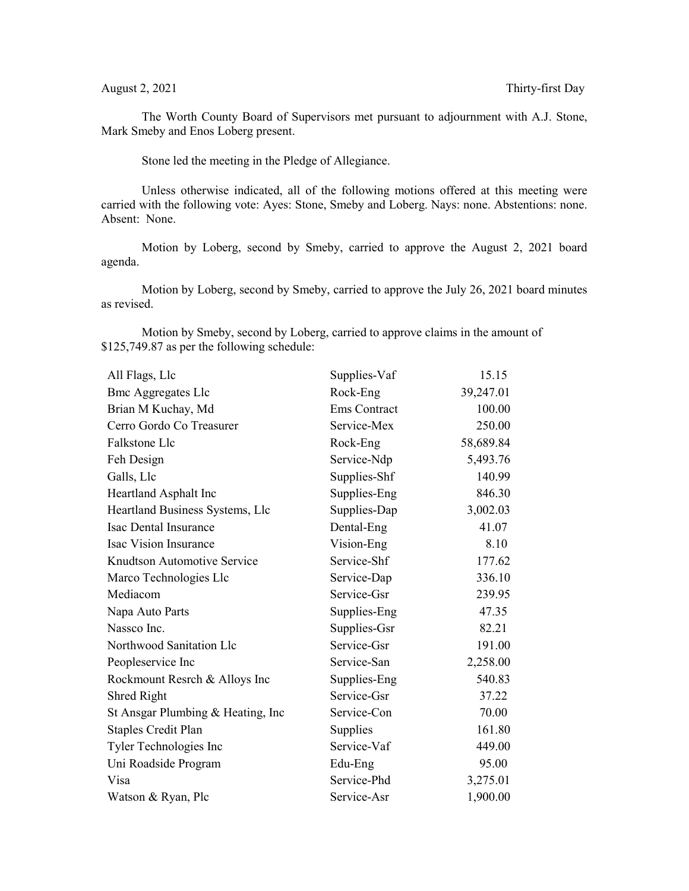The Worth County Board of Supervisors met pursuant to adjournment with A.J. Stone, Mark Smeby and Enos Loberg present.

Stone led the meeting in the Pledge of Allegiance.

Unless otherwise indicated, all of the following motions offered at this meeting were carried with the following vote: Ayes: Stone, Smeby and Loberg. Nays: none. Abstentions: none. Absent: None.

Motion by Loberg, second by Smeby, carried to approve the August 2, 2021 board agenda.

Motion by Loberg, second by Smeby, carried to approve the July 26, 2021 board minutes as revised.

Motion by Smeby, second by Loberg, carried to approve claims in the amount of \$125,749.87 as per the following schedule:

| All Flags, Llc                     | Supplies-Vaf        | 15.15     |
|------------------------------------|---------------------|-----------|
| <b>Bmc Aggregates Llc</b>          | Rock-Eng            | 39,247.01 |
| Brian M Kuchay, Md                 | <b>Ems Contract</b> | 100.00    |
| Cerro Gordo Co Treasurer           | Service-Mex         | 250.00    |
| Falkstone Llc                      | Rock-Eng            | 58,689.84 |
| Feh Design                         | Service-Ndp         | 5,493.76  |
| Galls, Llc                         | Supplies-Shf        | 140.99    |
| Heartland Asphalt Inc              | Supplies-Eng        | 846.30    |
| Heartland Business Systems, Llc    | Supplies-Dap        | 3,002.03  |
| Isac Dental Insurance              | Dental-Eng          | 41.07     |
| Isac Vision Insurance              | Vision-Eng          | 8.10      |
| Knudtson Automotive Service        | Service-Shf         | 177.62    |
| Marco Technologies Llc             | Service-Dap         | 336.10    |
| Mediacom                           | Service-Gsr         | 239.95    |
| Napa Auto Parts                    | Supplies-Eng        | 47.35     |
| Nassco Inc.                        | Supplies-Gsr        | 82.21     |
| Northwood Sanitation Llc           | Service-Gsr         | 191.00    |
| Peopleservice Inc                  | Service-San         | 2,258.00  |
| Rockmount Resrch & Alloys Inc      | Supplies-Eng        | 540.83    |
| Shred Right                        | Service-Gsr         | 37.22     |
| St Ansgar Plumbing & Heating, Inc. | Service-Con         | 70.00     |
| <b>Staples Credit Plan</b>         | Supplies            | 161.80    |
| Tyler Technologies Inc             | Service-Vaf         | 449.00    |
| Uni Roadside Program               | Edu-Eng             | 95.00     |
| Visa                               | Service-Phd         | 3,275.01  |
| Watson & Ryan, Plc                 | Service-Asr         | 1,900.00  |
|                                    |                     |           |